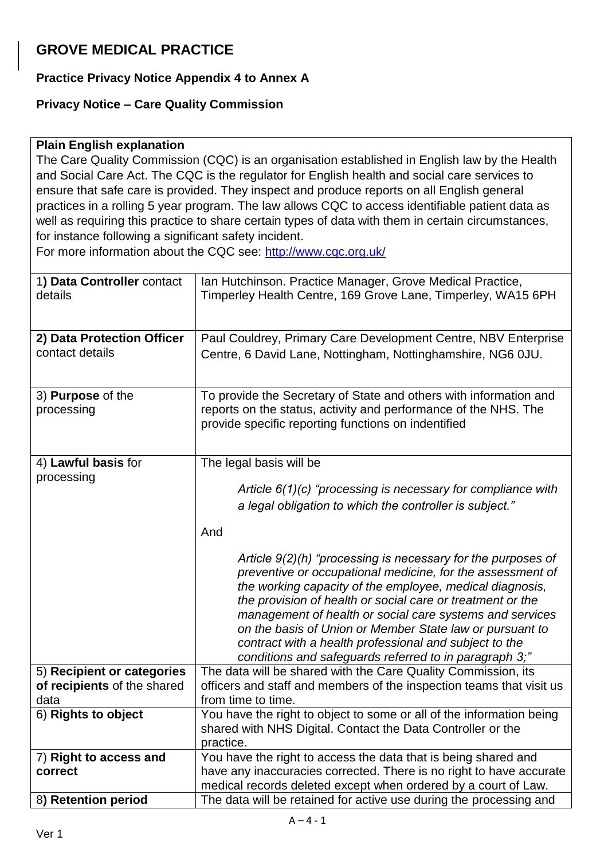## **GROVE MEDICAL PRACTICE**

## **Practice Privacy Notice Appendix 4 to Annex A**

## **Privacy Notice – Care Quality Commission**

## **Plain English explanation**

The Care Quality Commission (CQC) is an organisation established in English law by the Health and Social Care Act. The CQC is the regulator for English health and social care services to ensure that safe care is provided. They inspect and produce reports on all English general practices in a rolling 5 year program. The law allows CQC to access identifiable patient data as well as requiring this practice to share certain types of data with them in certain circumstances, for instance following a significant safety incident.

For more information about the CQC see:<http://www.cqc.org.uk/>

| 1) Data Controller contact<br>details                     | Ian Hutchinson. Practice Manager, Grove Medical Practice,<br>Timperley Health Centre, 169 Grove Lane, Timperley, WA15 6PH                                                                                                                                                                                                                                                                                                                                                                                                                                                                                                                                         |
|-----------------------------------------------------------|-------------------------------------------------------------------------------------------------------------------------------------------------------------------------------------------------------------------------------------------------------------------------------------------------------------------------------------------------------------------------------------------------------------------------------------------------------------------------------------------------------------------------------------------------------------------------------------------------------------------------------------------------------------------|
| 2) Data Protection Officer<br>contact details             | Paul Couldrey, Primary Care Development Centre, NBV Enterprise<br>Centre, 6 David Lane, Nottingham, Nottinghamshire, NG6 0JU.                                                                                                                                                                                                                                                                                                                                                                                                                                                                                                                                     |
| 3) Purpose of the<br>processing                           | To provide the Secretary of State and others with information and<br>reports on the status, activity and performance of the NHS. The<br>provide specific reporting functions on indentified                                                                                                                                                                                                                                                                                                                                                                                                                                                                       |
| 4) Lawful basis for<br>processing                         | The legal basis will be<br>Article $6(1)(c)$ "processing is necessary for compliance with<br>a legal obligation to which the controller is subject."<br>And<br>Article $9(2)(h)$ "processing is necessary for the purposes of<br>preventive or occupational medicine, for the assessment of<br>the working capacity of the employee, medical diagnosis,<br>the provision of health or social care or treatment or the<br>management of health or social care systems and services<br>on the basis of Union or Member State law or pursuant to<br>contract with a health professional and subject to the<br>conditions and safeguards referred to in paragraph 3;" |
| 5) Recipient or categories<br>of recipients of the shared | The data will be shared with the Care Quality Commission, its<br>officers and staff and members of the inspection teams that visit us                                                                                                                                                                                                                                                                                                                                                                                                                                                                                                                             |
| data                                                      | from time to time.                                                                                                                                                                                                                                                                                                                                                                                                                                                                                                                                                                                                                                                |
| 6) Rights to object                                       | You have the right to object to some or all of the information being<br>shared with NHS Digital. Contact the Data Controller or the<br>practice.                                                                                                                                                                                                                                                                                                                                                                                                                                                                                                                  |
| 7) Right to access and<br>correct                         | You have the right to access the data that is being shared and<br>have any inaccuracies corrected. There is no right to have accurate<br>medical records deleted except when ordered by a court of Law.                                                                                                                                                                                                                                                                                                                                                                                                                                                           |
| 8) Retention period                                       | The data will be retained for active use during the processing and                                                                                                                                                                                                                                                                                                                                                                                                                                                                                                                                                                                                |